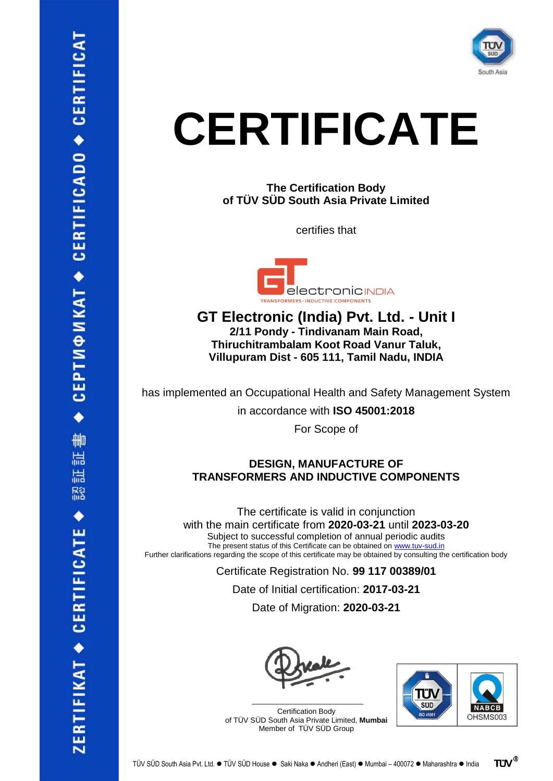

## **CERTIFICATE**

**The Certification Body of TÜV SÜD South Asia Private Limited**

certifies that



**GT Electronic (India) Pvt. Ltd. - Unit I 2/11 Pondy - Tindivanam Main Road, Thiruchitrambalam Koot Road Vanur Taluk, Villupuram Dist - 605 111, Tamil Nadu, INDIA**

has implemented an Occupational Health and Safety Management System

in accordance with **ISO 45001:2018**

For Scope of

## **DESIGN, MANUFACTURE OF TRANSFORMERS AND INDUCTIVE COMPONENTS**

The certificate is valid in conjunction with the main certificate from **2020-03-21** until **2023-03-20** Subject to successful completion of annual periodic audits The present status of this Certificate can be obtained o[n www.tuv-sud.in](http://www.tuv-sud.in/) Further clarifications regarding the scope of this certificate may be obtained by consulting the certification body

> Certificate Registration No. **99 117 00389/01** Date of Initial certification: **2017-03-21** Date of Migration: **2020-03-21**



Certification Body of TÜV SÜD South Asia Private Limited, **Mumbai** Member of TÜV SÜD Group

\_\_\_\_\_\_\_\_\_\_\_\_\_\_\_\_\_\_\_\_\_\_\_\_\_\_\_